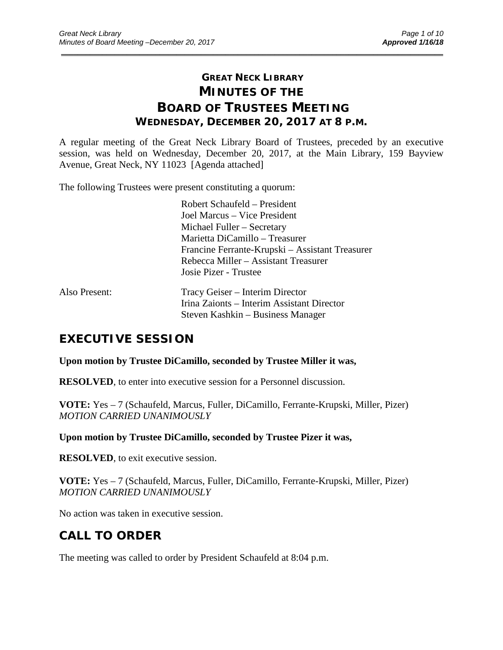# **GREAT NECK LIBRARY MINUTES OF THE BOARD OF TRUSTEES MEETING WEDNESDAY, DECEMBER 20, 2017 AT 8 P.M.**

\_\_\_\_\_\_\_\_\_\_\_\_\_\_\_\_\_\_\_\_\_\_\_\_\_\_\_\_\_\_\_\_\_\_\_\_\_\_\_\_\_\_\_\_\_\_\_\_\_\_\_\_\_\_\_\_\_\_\_\_\_\_\_\_\_\_\_\_\_\_\_\_\_\_\_\_\_\_\_\_\_\_\_\_\_\_\_\_\_\_\_\_\_

A regular meeting of the Great Neck Library Board of Trustees, preceded by an executive session, was held on Wednesday, December 20, 2017, at the Main Library, 159 Bayview Avenue, Great Neck, NY 11023 [Agenda attached]

The following Trustees were present constituting a quorum:

|               | Robert Schaufeld – President                    |
|---------------|-------------------------------------------------|
|               | Joel Marcus – Vice President                    |
|               | Michael Fuller – Secretary                      |
|               | Marietta DiCamillo – Treasurer                  |
|               | Francine Ferrante-Krupski – Assistant Treasurer |
|               | Rebecca Miller – Assistant Treasurer            |
|               | Josie Pizer - Trustee                           |
| Also Present: | Tracy Geiser – Interim Director                 |
|               | Irina Zaionts – Interim Assistant Director      |
|               | Steven Kashkin – Business Manager               |

# **EXECUTIVE SESSION**

### **Upon motion by Trustee DiCamillo, seconded by Trustee Miller it was,**

**RESOLVED**, to enter into executive session for a Personnel discussion.

**VOTE:** Yes – 7 (Schaufeld, Marcus, Fuller, DiCamillo, Ferrante-Krupski, Miller, Pizer) *MOTION CARRIED UNANIMOUSLY*

**Upon motion by Trustee DiCamillo, seconded by Trustee Pizer it was,**

**RESOLVED**, to exit executive session.

**VOTE:** Yes – 7 (Schaufeld, Marcus, Fuller, DiCamillo, Ferrante-Krupski, Miller, Pizer) *MOTION CARRIED UNANIMOUSLY*

No action was taken in executive session.

# **CALL TO ORDER**

The meeting was called to order by President Schaufeld at 8:04 p.m.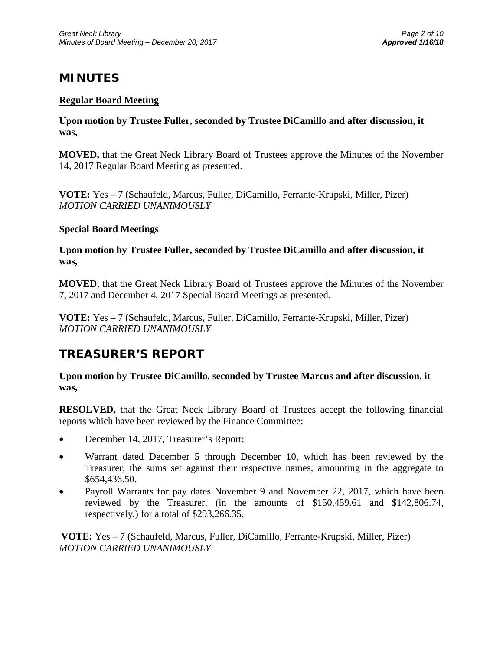# **MINUTES**

## **Regular Board Meeting**

**Upon motion by Trustee Fuller, seconded by Trustee DiCamillo and after discussion, it was,**

**MOVED,** that the Great Neck Library Board of Trustees approve the Minutes of the November 14, 2017 Regular Board Meeting as presented.

**VOTE:** Yes – 7 (Schaufeld, Marcus, Fuller, DiCamillo, Ferrante-Krupski, Miller, Pizer) *MOTION CARRIED UNANIMOUSLY*

### **Special Board Meetings**

**Upon motion by Trustee Fuller, seconded by Trustee DiCamillo and after discussion, it was,**

**MOVED,** that the Great Neck Library Board of Trustees approve the Minutes of the November 7, 2017 and December 4, 2017 Special Board Meetings as presented.

**VOTE:** Yes – 7 (Schaufeld, Marcus, Fuller, DiCamillo, Ferrante-Krupski, Miller, Pizer) *MOTION CARRIED UNANIMOUSLY*

# **TREASURER'S REPORT**

**Upon motion by Trustee DiCamillo, seconded by Trustee Marcus and after discussion, it was,**

**RESOLVED,** that the Great Neck Library Board of Trustees accept the following financial reports which have been reviewed by the Finance Committee:

- December 14, 2017, Treasurer's Report;
- Warrant dated December 5 through December 10, which has been reviewed by the Treasurer, the sums set against their respective names, amounting in the aggregate to \$654,436.50.
- Payroll Warrants for pay dates November 9 and November 22, 2017, which have been reviewed by the Treasurer, (in the amounts of \$150,459.61 and \$142,806.74, respectively,) for a total of \$293,266.35.

**VOTE:** Yes – 7 (Schaufeld, Marcus, Fuller, DiCamillo, Ferrante-Krupski, Miller, Pizer) *MOTION CARRIED UNANIMOUSLY*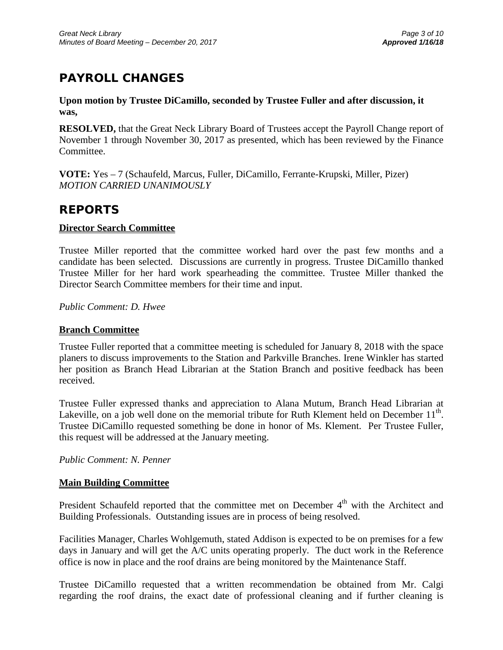# **PAYROLL CHANGES**

### **Upon motion by Trustee DiCamillo, seconded by Trustee Fuller and after discussion, it was,**

**RESOLVED,** that the Great Neck Library Board of Trustees accept the Payroll Change report of November 1 through November 30, 2017 as presented, which has been reviewed by the Finance Committee.

**VOTE:** Yes – 7 (Schaufeld, Marcus, Fuller, DiCamillo, Ferrante-Krupski, Miller, Pizer) *MOTION CARRIED UNANIMOUSLY*

# **REPORTS**

## **Director Search Committee**

Trustee Miller reported that the committee worked hard over the past few months and a candidate has been selected. Discussions are currently in progress. Trustee DiCamillo thanked Trustee Miller for her hard work spearheading the committee. Trustee Miller thanked the Director Search Committee members for their time and input.

*Public Comment: D. Hwee*

## **Branch Committee**

Trustee Fuller reported that a committee meeting is scheduled for January 8, 2018 with the space planers to discuss improvements to the Station and Parkville Branches. Irene Winkler has started her position as Branch Head Librarian at the Station Branch and positive feedback has been received.

Trustee Fuller expressed thanks and appreciation to Alana Mutum, Branch Head Librarian at Lakeville, on a job well done on the memorial tribute for Ruth Klement held on December  $11<sup>th</sup>$ . Trustee DiCamillo requested something be done in honor of Ms. Klement. Per Trustee Fuller, this request will be addressed at the January meeting.

*Public Comment: N. Penner*

## **Main Building Committee**

President Schaufeld reported that the committee met on December  $4<sup>th</sup>$  with the Architect and Building Professionals. Outstanding issues are in process of being resolved.

Facilities Manager, Charles Wohlgemuth, stated Addison is expected to be on premises for a few days in January and will get the A/C units operating properly. The duct work in the Reference office is now in place and the roof drains are being monitored by the Maintenance Staff.

Trustee DiCamillo requested that a written recommendation be obtained from Mr. Calgi regarding the roof drains, the exact date of professional cleaning and if further cleaning is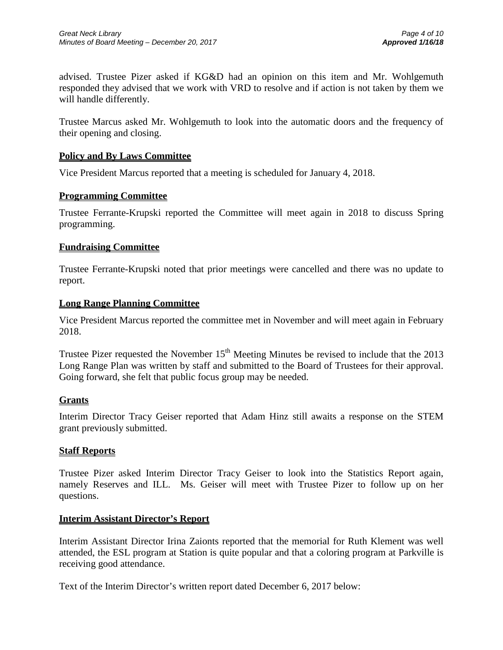advised. Trustee Pizer asked if KG&D had an opinion on this item and Mr. Wohlgemuth responded they advised that we work with VRD to resolve and if action is not taken by them we will handle differently.

Trustee Marcus asked Mr. Wohlgemuth to look into the automatic doors and the frequency of their opening and closing.

### **Policy and By Laws Committee**

Vice President Marcus reported that a meeting is scheduled for January 4, 2018.

### **Programming Committee**

Trustee Ferrante-Krupski reported the Committee will meet again in 2018 to discuss Spring programming.

### **Fundraising Committee**

Trustee Ferrante-Krupski noted that prior meetings were cancelled and there was no update to report.

### **Long Range Planning Committee**

Vice President Marcus reported the committee met in November and will meet again in February 2018.

Trustee Pizer requested the November  $15<sup>th</sup>$  Meeting Minutes be revised to include that the 2013 Long Range Plan was written by staff and submitted to the Board of Trustees for their approval. Going forward, she felt that public focus group may be needed.

### **Grants**

Interim Director Tracy Geiser reported that Adam Hinz still awaits a response on the STEM grant previously submitted.

### **Staff Reports**

Trustee Pizer asked Interim Director Tracy Geiser to look into the Statistics Report again, namely Reserves and ILL. Ms. Geiser will meet with Trustee Pizer to follow up on her questions.

### **Interim Assistant Director's Report**

Interim Assistant Director Irina Zaionts reported that the memorial for Ruth Klement was well attended, the ESL program at Station is quite popular and that a coloring program at Parkville is receiving good attendance.

Text of the Interim Director's written report dated December 6, 2017 below: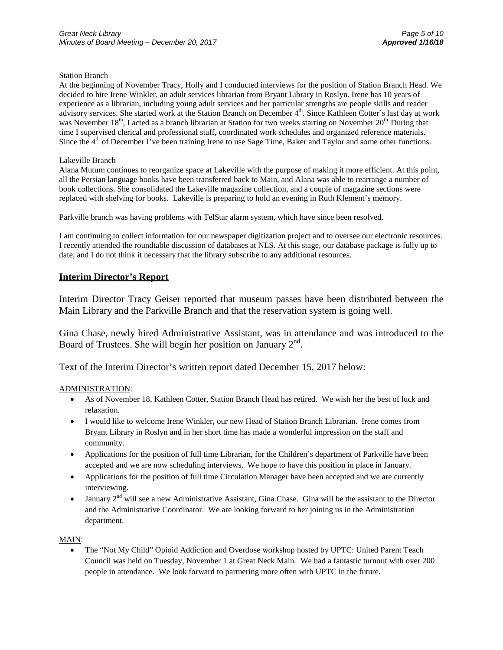#### Station Branch

At the beginning of November Tracy, Holly and I conducted interviews for the position of Station Branch Head. We decided to hire Irene Winkler, an adult services librarian from Bryant Library in Roslyn. Irene has 10 years of experience as a librarian, including young adult services and her particular strengths are people skills and reader advisory services. She started work at the Station Branch on December 4<sup>th</sup>. Since Kathleen Cotter's last day at work was November 18<sup>th</sup>, I acted as a branch librarian at Station for two weeks starting on November 20<sup>th</sup>. During that time I supervised clerical and professional staff, coordinated work schedules and organized reference materials. Since the  $4<sup>th</sup>$  of December I've been training Irene to use Sage Time, Baker and Taylor and some other functions.

#### Lakeville Branch

Alana Mutum continues to reorganize space at Lakeville with the purpose of making it more efficient. At this point, all the Persian language books have been transferred back to Main, and Alana was able to rearrange a number of book collections. She consolidated the Lakeville magazine collection, and a couple of magazine sections were replaced with shelving for books. Lakeville is preparing to hold an evening in Ruth Klement's memory.

Parkville branch was having problems with TelStar alarm system, which have since been resolved.

I am continuing to collect information for our newspaper digitization project and to oversee our electronic resources. I recently attended the roundtable discussion of databases at NLS. At this stage, our database package is fully up to date, and I do not think it necessary that the library subscribe to any additional resources.

#### **Interim Director's Report**

Interim Director Tracy Geiser reported that museum passes have been distributed between the Main Library and the Parkville Branch and that the reservation system is going well.

Gina Chase, newly hired Administrative Assistant, was in attendance and was introduced to the Board of Trustees. She will begin her position on January  $2<sup>nd</sup>$ .

Text of the Interim Director's written report dated December 15, 2017 below:

#### ADMINISTRATION:

- As of November 18, Kathleen Cotter, Station Branch Head has retired. We wish her the best of luck and relaxation.
- I would like to welcome Irene Winkler, our new Head of Station Branch Librarian. Irene comes from Bryant Library in Roslyn and in her short time has made a wonderful impression on the staff and community.
- Applications for the position of full time Librarian, for the Children's department of Parkville have been accepted and we are now scheduling interviews. We hope to have this position in place in January.
- Applications for the position of full time Circulation Manager have been accepted and we are currently interviewing.
- January  $2<sup>nd</sup>$  will see a new Administrative Assistant, Gina Chase. Gina will be the assistant to the Director and the Administrative Coordinator. We are looking forward to her joining us in the Administration department.

#### MAIN:

• The "Not My Child" Opioid Addiction and Overdose workshop hosted by UPTC: United Parent Teach Council was held on Tuesday, November 1 at Great Neck Main. We had a fantastic turnout with over 200 people in attendance. We look forward to partnering more often with UPTC in the future.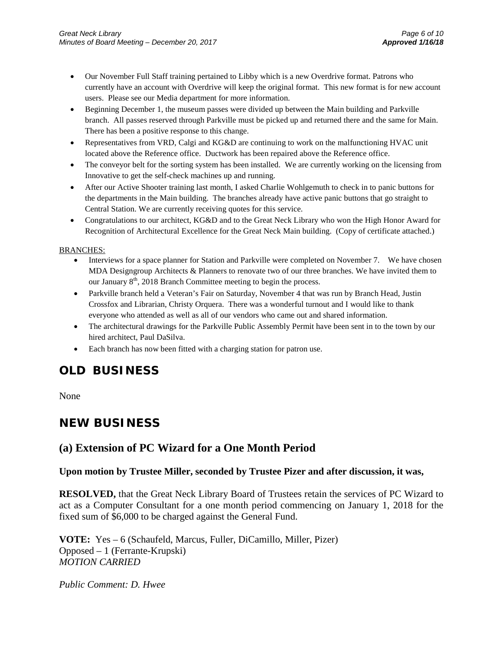- Our November Full Staff training pertained to Libby which is a new Overdrive format. Patrons who currently have an account with Overdrive will keep the original format. This new format is for new account users. Please see our Media department for more information.
- Beginning December 1, the museum passes were divided up between the Main building and Parkville branch. All passes reserved through Parkville must be picked up and returned there and the same for Main. There has been a positive response to this change.
- Representatives from VRD, Calgi and KG&D are continuing to work on the malfunctioning HVAC unit located above the Reference office. Ductwork has been repaired above the Reference office.
- The conveyor belt for the sorting system has been installed. We are currently working on the licensing from Innovative to get the self-check machines up and running.
- After our Active Shooter training last month, I asked Charlie Wohlgemuth to check in to panic buttons for the departments in the Main building. The branches already have active panic buttons that go straight to Central Station. We are currently receiving quotes for this service.
- Congratulations to our architect, KG&D and to the Great Neck Library who won the High Honor Award for Recognition of Architectural Excellence for the Great Neck Main building. (Copy of certificate attached.)

#### BRANCHES:

- Interviews for a space planner for Station and Parkville were completed on November 7. We have chosen MDA Designgroup Architects & Planners to renovate two of our three branches. We have invited them to our January 8<sup>th</sup>, 2018 Branch Committee meeting to begin the process.
- Parkville branch held a Veteran's Fair on Saturday, November 4 that was run by Branch Head, Justin Crossfox and Librarian, Christy Orquera. There was a wonderful turnout and I would like to thank everyone who attended as well as all of our vendors who came out and shared information.
- The architectural drawings for the Parkville Public Assembly Permit have been sent in to the town by our hired architect, Paul DaSilva.
- Each branch has now been fitted with a charging station for patron use.

# **OLD BUSINESS**

None

# **NEW BUSINESS**

## **(a) Extension of PC Wizard for a One Month Period**

### **Upon motion by Trustee Miller, seconded by Trustee Pizer and after discussion, it was,**

**RESOLVED,** that the Great Neck Library Board of Trustees retain the services of PC Wizard to act as a Computer Consultant for a one month period commencing on January 1, 2018 for the fixed sum of \$6,000 to be charged against the General Fund.

**VOTE:** Yes – 6 (Schaufeld, Marcus, Fuller, DiCamillo, Miller, Pizer) Opposed – 1 (Ferrante-Krupski) *MOTION CARRIED* 

*Public Comment: D. Hwee*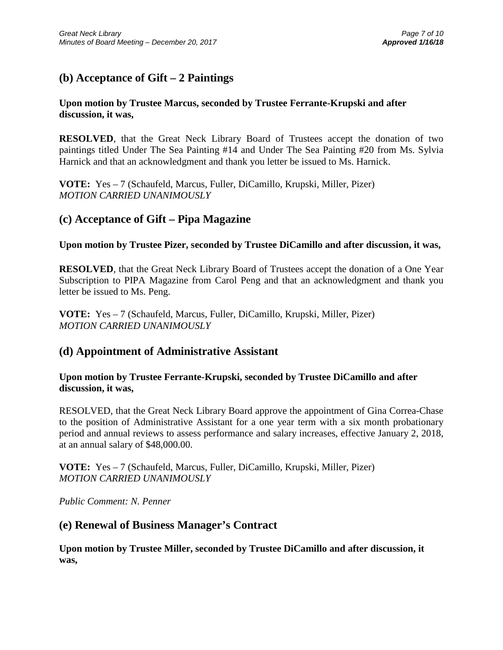# **(b) Acceptance of Gift – 2 Paintings**

## **Upon motion by Trustee Marcus, seconded by Trustee Ferrante-Krupski and after discussion, it was,**

**RESOLVED**, that the Great Neck Library Board of Trustees accept the donation of two paintings titled Under The Sea Painting #14 and Under The Sea Painting #20 from Ms. Sylvia Harnick and that an acknowledgment and thank you letter be issued to Ms. Harnick.

**VOTE:** Yes – 7 (Schaufeld, Marcus, Fuller, DiCamillo, Krupski, Miller, Pizer) *MOTION CARRIED UNANIMOUSLY* 

## **(c) Acceptance of Gift – Pipa Magazine**

**Upon motion by Trustee Pizer, seconded by Trustee DiCamillo and after discussion, it was,**

**RESOLVED**, that the Great Neck Library Board of Trustees accept the donation of a One Year Subscription to PIPA Magazine from Carol Peng and that an acknowledgment and thank you letter be issued to Ms. Peng.

**VOTE:** Yes – 7 (Schaufeld, Marcus, Fuller, DiCamillo, Krupski, Miller, Pizer) *MOTION CARRIED UNANIMOUSLY* 

## **(d) Appointment of Administrative Assistant**

## **Upon motion by Trustee Ferrante-Krupski, seconded by Trustee DiCamillo and after discussion, it was,**

RESOLVED, that the Great Neck Library Board approve the appointment of Gina Correa-Chase to the position of Administrative Assistant for a one year term with a six month probationary period and annual reviews to assess performance and salary increases, effective January 2, 2018, at an annual salary of \$48,000.00.

**VOTE:** Yes – 7 (Schaufeld, Marcus, Fuller, DiCamillo, Krupski, Miller, Pizer) *MOTION CARRIED UNANIMOUSLY*

*Public Comment: N. Penner*

## **(e) Renewal of Business Manager's Contract**

**Upon motion by Trustee Miller, seconded by Trustee DiCamillo and after discussion, it was,**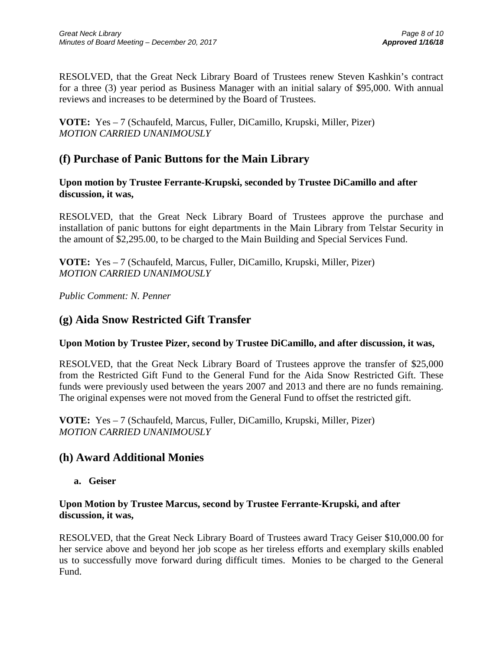RESOLVED, that the Great Neck Library Board of Trustees renew Steven Kashkin's contract for a three (3) year period as Business Manager with an initial salary of \$95,000. With annual reviews and increases to be determined by the Board of Trustees.

**VOTE:** Yes – 7 (Schaufeld, Marcus, Fuller, DiCamillo, Krupski, Miller, Pizer) *MOTION CARRIED UNANIMOUSLY*

# **(f) Purchase of Panic Buttons for the Main Library**

### **Upon motion by Trustee Ferrante-Krupski, seconded by Trustee DiCamillo and after discussion, it was,**

RESOLVED, that the Great Neck Library Board of Trustees approve the purchase and installation of panic buttons for eight departments in the Main Library from Telstar Security in the amount of \$2,295.00, to be charged to the Main Building and Special Services Fund.

**VOTE:** Yes – 7 (Schaufeld, Marcus, Fuller, DiCamillo, Krupski, Miller, Pizer) *MOTION CARRIED UNANIMOUSLY*

*Public Comment: N. Penner*

# **(g) Aida Snow Restricted Gift Transfer**

## **Upon Motion by Trustee Pizer, second by Trustee DiCamillo, and after discussion, it was,**

RESOLVED, that the Great Neck Library Board of Trustees approve the transfer of \$25,000 from the Restricted Gift Fund to the General Fund for the Aida Snow Restricted Gift. These funds were previously used between the years 2007 and 2013 and there are no funds remaining. The original expenses were not moved from the General Fund to offset the restricted gift.

**VOTE:** Yes – 7 (Schaufeld, Marcus, Fuller, DiCamillo, Krupski, Miller, Pizer) *MOTION CARRIED UNANIMOUSLY*

## **(h) Award Additional Monies**

**a. Geiser**

## **Upon Motion by Trustee Marcus, second by Trustee Ferrante-Krupski, and after discussion, it was,**

RESOLVED, that the Great Neck Library Board of Trustees award Tracy Geiser \$10,000.00 for her service above and beyond her job scope as her tireless efforts and exemplary skills enabled us to successfully move forward during difficult times. Monies to be charged to the General Fund.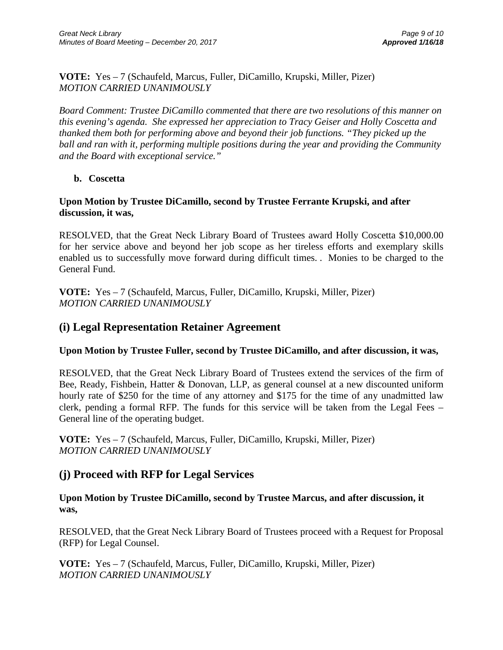**VOTE:** Yes – 7 (Schaufeld, Marcus, Fuller, DiCamillo, Krupski, Miller, Pizer) *MOTION CARRIED UNANIMOUSLY*

*Board Comment: Trustee DiCamillo commented that there are two resolutions of this manner on this evening's agenda. She expressed her appreciation to Tracy Geiser and Holly Coscetta and thanked them both for performing above and beyond their job functions. "They picked up the ball and ran with it, performing multiple positions during the year and providing the Community and the Board with exceptional service."* 

**b. Coscetta**

## **Upon Motion by Trustee DiCamillo, second by Trustee Ferrante Krupski, and after discussion, it was,**

RESOLVED, that the Great Neck Library Board of Trustees award Holly Coscetta \$10,000.00 for her service above and beyond her job scope as her tireless efforts and exemplary skills enabled us to successfully move forward during difficult times. . Monies to be charged to the General Fund.

**VOTE:** Yes – 7 (Schaufeld, Marcus, Fuller, DiCamillo, Krupski, Miller, Pizer) *MOTION CARRIED UNANIMOUSLY*

## **(i) Legal Representation Retainer Agreement**

## **Upon Motion by Trustee Fuller, second by Trustee DiCamillo, and after discussion, it was,**

RESOLVED, that the Great Neck Library Board of Trustees extend the services of the firm of Bee, Ready, Fishbein, Hatter & Donovan, LLP, as general counsel at a new discounted uniform hourly rate of \$250 for the time of any attorney and \$175 for the time of any unadmitted law clerk, pending a formal RFP. The funds for this service will be taken from the Legal Fees – General line of the operating budget.

**VOTE:** Yes – 7 (Schaufeld, Marcus, Fuller, DiCamillo, Krupski, Miller, Pizer) *MOTION CARRIED UNANIMOUSLY*

## **(j) Proceed with RFP for Legal Services**

**Upon Motion by Trustee DiCamillo, second by Trustee Marcus, and after discussion, it was,**

RESOLVED, that the Great Neck Library Board of Trustees proceed with a Request for Proposal (RFP) for Legal Counsel.

**VOTE:** Yes – 7 (Schaufeld, Marcus, Fuller, DiCamillo, Krupski, Miller, Pizer) *MOTION CARRIED UNANIMOUSLY*